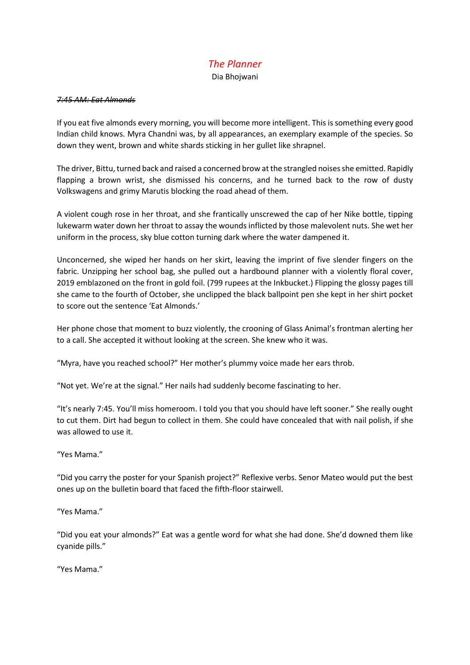# *The Planner*

Dia Bhojwani

### *7:45 AM: Eat Almonds*

If you eat five almonds every morning, you will become more intelligent. This is something every good Indian child knows. Myra Chandni was, by all appearances, an exemplary example of the species. So down they went, brown and white shards sticking in her gullet like shrapnel.

The driver, Bittu, turned back and raised a concerned brow at the strangled noises she emitted. Rapidly flapping a brown wrist, she dismissed his concerns, and he turned back to the row of dusty Volkswagens and grimy Marutis blocking the road ahead of them.

A violent cough rose in her throat, and she frantically unscrewed the cap of her Nike bottle, tipping lukewarm water down her throat to assay the wounds inflicted by those malevolent nuts. She wet her uniform in the process, sky blue cotton turning dark where the water dampened it.

Unconcerned, she wiped her hands on her skirt, leaving the imprint of five slender fingers on the fabric. Unzipping her school bag, she pulled out a hardbound planner with a violently floral cover, 2019 emblazoned on the front in gold foil. (799 rupees at the Inkbucket.) Flipping the glossy pages till she came to the fourth of October, she unclipped the black ballpoint pen she kept in her shirt pocket to score out the sentence 'Eat Almonds.'

Her phone chose that moment to buzz violently, the crooning of Glass Animal's frontman alerting her to a call. She accepted it without looking at the screen. She knew who it was.

"Myra, have you reached school?" Her mother's plummy voice made her ears throb.

"Not yet. We're at the signal." Her nails had suddenly become fascinating to her.

"It's nearly 7:45. You'll miss homeroom. I told you that you should have left sooner." She really ought to cut them. Dirt had begun to collect in them. She could have concealed that with nail polish, if she was allowed to use it.

"Yes Mama."

"Did you carry the poster for your Spanish project?" Reflexive verbs. Senor Mateo would put the best ones up on the bulletin board that faced the fifth-floor stairwell.

"Yes Mama."

"Did you eat your almonds?" Eat was a gentle word for what she had done. She'd downed them like cyanide pills."

"Yes Mama."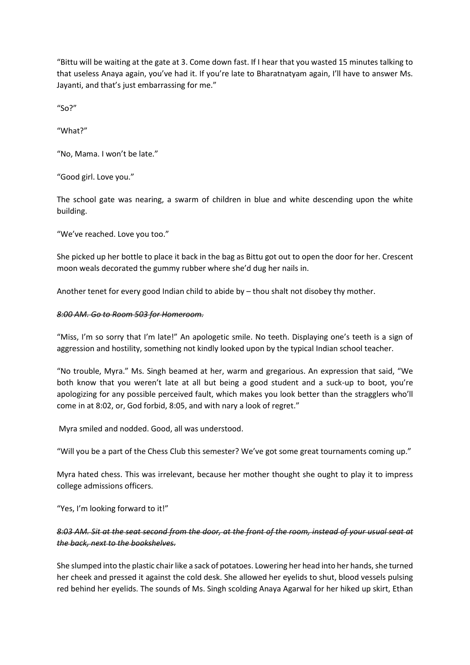"Bittu will be waiting at the gate at 3. Come down fast. If I hear that you wasted 15 minutes talking to that useless Anaya again, you've had it. If you're late to Bharatnatyam again, I'll have to answer Ms. Jayanti, and that's just embarrassing for me."

"So?"

"What?"

"No, Mama. I won't be late."

"Good girl. Love you."

The school gate was nearing, a swarm of children in blue and white descending upon the white building.

"We've reached. Love you too."

She picked up her bottle to place it back in the bag as Bittu got out to open the door for her. Crescent moon weals decorated the gummy rubber where she'd dug her nails in.

Another tenet for every good Indian child to abide by – thou shalt not disobey thy mother.

### *8:00 AM. Go to Room 503 for Homeroom.*

"Miss, I'm so sorry that I'm late!" An apologetic smile. No teeth. Displaying one's teeth is a sign of aggression and hostility, something not kindly looked upon by the typical Indian school teacher.

"No trouble, Myra." Ms. Singh beamed at her, warm and gregarious. An expression that said, "We both know that you weren't late at all but being a good student and a suck-up to boot, you're apologizing for any possible perceived fault, which makes you look better than the stragglers who'll come in at 8:02, or, God forbid, 8:05, and with nary a look of regret."

Myra smiled and nodded. Good, all was understood.

"Will you be a part of the Chess Club this semester? We've got some great tournaments coming up."

Myra hated chess. This was irrelevant, because her mother thought she ought to play it to impress college admissions officers.

"Yes, I'm looking forward to it!"

### *8:03 AM. Sit at the seat second from the door, at the front of the room, instead of your usual seat at the back, next to the bookshelves.*

She slumped into the plastic chair like a sack of potatoes. Lowering her head into her hands, she turned her cheek and pressed it against the cold desk. She allowed her eyelids to shut, blood vessels pulsing red behind her eyelids. The sounds of Ms. Singh scolding Anaya Agarwal for her hiked up skirt, Ethan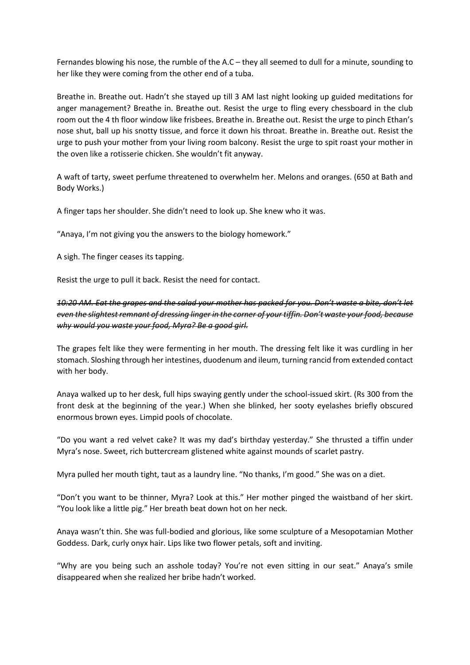Fernandes blowing his nose, the rumble of the A.C – they all seemed to dull for a minute, sounding to her like they were coming from the other end of a tuba.

Breathe in. Breathe out. Hadn't she stayed up till 3 AM last night looking up guided meditations for anger management? Breathe in. Breathe out. Resist the urge to fling every chessboard in the club room out the 4 th floor window like frisbees. Breathe in. Breathe out. Resist the urge to pinch Ethan's nose shut, ball up his snotty tissue, and force it down his throat. Breathe in. Breathe out. Resist the urge to push your mother from your living room balcony. Resist the urge to spit roast your mother in the oven like a rotisserie chicken. She wouldn't fit anyway.

A waft of tarty, sweet perfume threatened to overwhelm her. Melons and oranges. (650 at Bath and Body Works.)

A finger taps her shoulder. She didn't need to look up. She knew who it was.

"Anaya, I'm not giving you the answers to the biology homework."

A sigh. The finger ceases its tapping.

Resist the urge to pull it back. Resist the need for contact.

## *10:20 AM. Eat the grapes and the salad your mother has packed for you. Don't waste a bite, don't let even the slightest remnant of dressing linger in the corner of your tiffin. Don't waste your food, because why would you waste your food, Myra? Be a good girl.*

The grapes felt like they were fermenting in her mouth. The dressing felt like it was curdling in her stomach. Sloshing through her intestines, duodenum and ileum, turning rancid from extended contact with her body.

Anaya walked up to her desk, full hips swaying gently under the school-issued skirt. (Rs 300 from the front desk at the beginning of the year.) When she blinked, her sooty eyelashes briefly obscured enormous brown eyes. Limpid pools of chocolate.

"Do you want a red velvet cake? It was my dad's birthday yesterday." She thrusted a tiffin under Myra's nose. Sweet, rich buttercream glistened white against mounds of scarlet pastry.

Myra pulled her mouth tight, taut as a laundry line. "No thanks, I'm good." She was on a diet.

"Don't you want to be thinner, Myra? Look at this." Her mother pinged the waistband of her skirt. "You look like a little pig." Her breath beat down hot on her neck.

Anaya wasn't thin. She was full-bodied and glorious, like some sculpture of a Mesopotamian Mother Goddess. Dark, curly onyx hair. Lips like two flower petals, soft and inviting.

"Why are you being such an asshole today? You're not even sitting in our seat." Anaya's smile disappeared when she realized her bribe hadn't worked.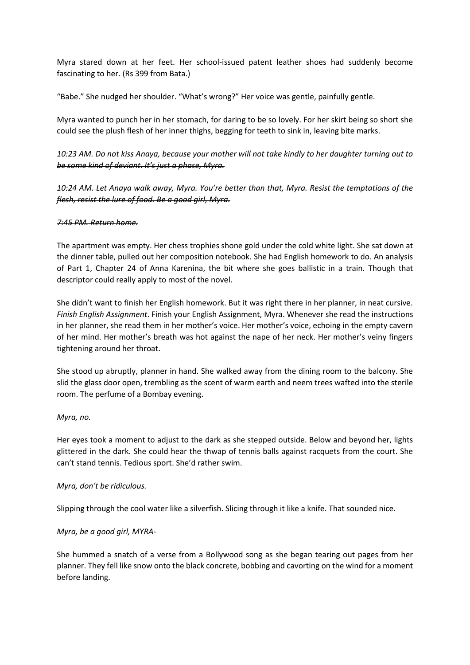Myra stared down at her feet. Her school-issued patent leather shoes had suddenly become fascinating to her. (Rs 399 from Bata.)

"Babe." She nudged her shoulder. "What's wrong?" Her voice was gentle, painfully gentle.

Myra wanted to punch her in her stomach, for daring to be so lovely. For her skirt being so short she could see the plush flesh of her inner thighs, begging for teeth to sink in, leaving bite marks.

*10:23 AM. Do not kiss Anaya, because your mother will not take kindly to her daughter turning out to be some kind of deviant. It's just a phase, Myra.* 

*10:24 AM. Let Anaya walk away, Myra. You're better than that, Myra. Resist the temptations of the flesh, resist the lure of food. Be a good girl, Myra.* 

### *7:45 PM. Return home.*

The apartment was empty. Her chess trophies shone gold under the cold white light. She sat down at the dinner table, pulled out her composition notebook. She had English homework to do. An analysis of Part 1, Chapter 24 of Anna Karenina, the bit where she goes ballistic in a train. Though that descriptor could really apply to most of the novel.

She didn't want to finish her English homework. But it was right there in her planner, in neat cursive. *Finish English Assignment*. Finish your English Assignment, Myra. Whenever she read the instructions in her planner, she read them in her mother's voice. Her mother's voice, echoing in the empty cavern of her mind. Her mother's breath was hot against the nape of her neck. Her mother's veiny fingers tightening around her throat.

She stood up abruptly, planner in hand. She walked away from the dining room to the balcony. She slid the glass door open, trembling as the scent of warm earth and neem trees wafted into the sterile room. The perfume of a Bombay evening.

### *Myra, no.*

Her eyes took a moment to adjust to the dark as she stepped outside. Below and beyond her, lights glittered in the dark. She could hear the thwap of tennis balls against racquets from the court. She can't stand tennis. Tedious sport. She'd rather swim.

### *Myra, don't be ridiculous.*

Slipping through the cool water like a silverfish. Slicing through it like a knife. That sounded nice.

### *Myra, be a good girl, MYRA-*

She hummed a snatch of a verse from a Bollywood song as she began tearing out pages from her planner. They fell like snow onto the black concrete, bobbing and cavorting on the wind for a moment before landing.